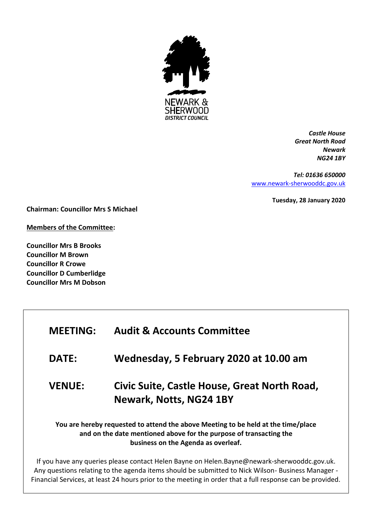

*Castle House Great North Road Newark NG24 1BY*

*Tel: 01636 650000* [www.newark-sherwooddc.gov.uk](http://www.newark-sherwooddc.gov.uk/)

**Tuesday, 28 January 2020**

**Chairman: Councillor Mrs S Michael**

**Members of the Committee:**

**Councillor Mrs B Brooks Councillor M Brown Councillor R Crowe Councillor D Cumberlidge Councillor Mrs M Dobson**

| <b>MEETING:</b> | <b>Audit &amp; Accounts Committee</b>                                                                                                                                                          |
|-----------------|------------------------------------------------------------------------------------------------------------------------------------------------------------------------------------------------|
| <b>DATE:</b>    | Wednesday, 5 February 2020 at 10.00 am                                                                                                                                                         |
| <b>VENUE:</b>   | Civic Suite, Castle House, Great North Road,<br>Newark, Notts, NG24 1BY                                                                                                                        |
|                 | You are hereby requested to attend the above Meeting to be held at the time/place<br>and on the date mentioned above for the purpose of transacting the<br>business on the Agenda as overleaf. |

If you have any queries please contact Helen Bayne on Helen.Bayne@newark-sherwooddc.gov.uk. Any questions relating to the agenda items should be submitted to Nick Wilson- Business Manager - Financial Services, at least 24 hours prior to the meeting in order that a full response can be provided.